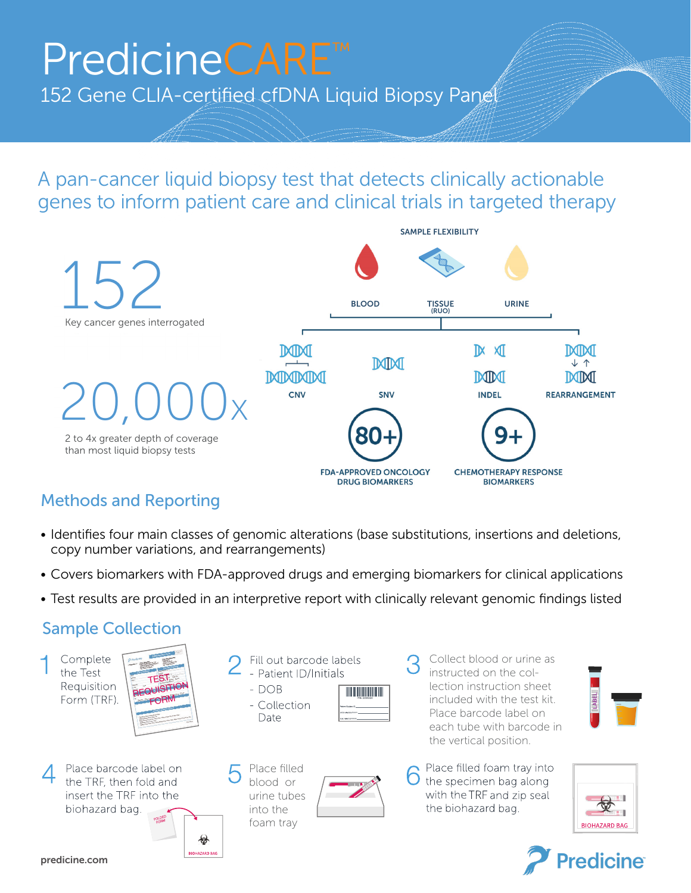## PredicineCARE<sup>™</sup>

152 Gene CLIA-certified cfDNA Liquid Biopsy Panel

A pan-cancer liquid biopsy test that detects clinically actionable genes to inform patient care and clinical trials in targeted therapy



## Methods and Reporting

- Identifies four main classes of genomic alterations (base substitutions, insertions and deletions, copy number variations, and rearrangements)
- Covers biomarkers with FDA-approved drugs and emerging biomarkers for clinical applications
- Test results are provided in an interpretive report with clinically relevant genomic findings listed

## Sample Collection

Complete the Test Requisition Form (TRF).

- Fill out barcode labels - Patient ID/Initials
	- $DOB$ - Collection Date

blood or

Place barcode label on the TRF, then fold and insert the TRF into the biohazard bag.

urine tubes into the foam tray €

**BIOHAZARD BAG** 



Collect blood or urine as instructed on the collection instruction sheet included with the test kit. Place barcode label on each tube with barcode in the vertical position.









predicine.com